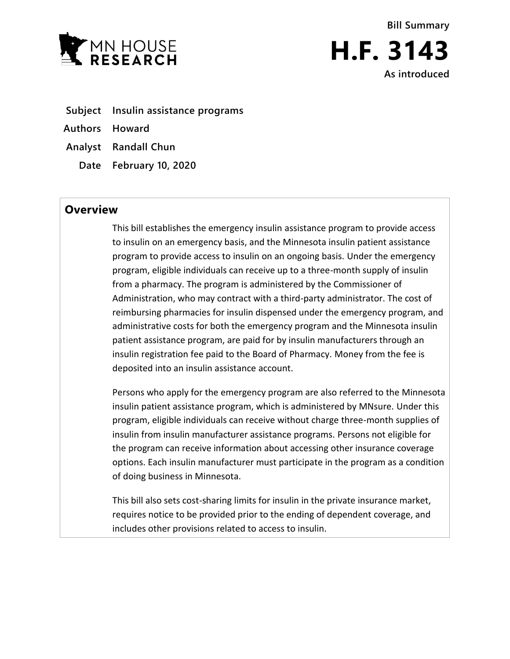



- **Subject Insulin assistance programs**
- **Authors Howard**
- **Analyst Randall Chun**
	- **Date February 10, 2020**

# **Overview**

This bill establishes the emergency insulin assistance program to provide access to insulin on an emergency basis, and the Minnesota insulin patient assistance program to provide access to insulin on an ongoing basis. Under the emergency program, eligible individuals can receive up to a three-month supply of insulin from a pharmacy. The program is administered by the Commissioner of Administration, who may contract with a third-party administrator. The cost of reimbursing pharmacies for insulin dispensed under the emergency program, and administrative costs for both the emergency program and the Minnesota insulin patient assistance program, are paid for by insulin manufacturers through an insulin registration fee paid to the Board of Pharmacy. Money from the fee is deposited into an insulin assistance account.

Persons who apply for the emergency program are also referred to the Minnesota insulin patient assistance program, which is administered by MNsure. Under this program, eligible individuals can receive without charge three-month supplies of insulin from insulin manufacturer assistance programs. Persons not eligible for the program can receive information about accessing other insurance coverage options. Each insulin manufacturer must participate in the program as a condition of doing business in Minnesota.

This bill also sets cost-sharing limits for insulin in the private insurance market, requires notice to be provided prior to the ending of dependent coverage, and includes other provisions related to access to insulin.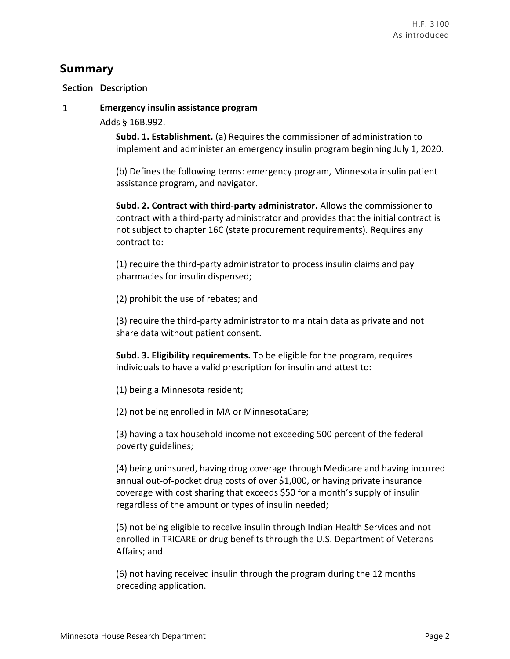# **Summary**

# **Section Description**

### **Emergency insulin assistance program**  $\mathbf{1}$

Adds § 16B.992.

**Subd. 1. Establishment.** (a) Requires the commissioner of administration to implement and administer an emergency insulin program beginning July 1, 2020.

(b) Defines the following terms: emergency program, Minnesota insulin patient assistance program, and navigator.

**Subd. 2. Contract with third-party administrator.** Allows the commissioner to contract with a third-party administrator and provides that the initial contract is not subject to chapter 16C (state procurement requirements). Requires any contract to:

(1) require the third-party administrator to process insulin claims and pay pharmacies for insulin dispensed;

(2) prohibit the use of rebates; and

(3) require the third-party administrator to maintain data as private and not share data without patient consent.

**Subd. 3. Eligibility requirements.** To be eligible for the program, requires individuals to have a valid prescription for insulin and attest to:

(1) being a Minnesota resident;

(2) not being enrolled in MA or MinnesotaCare;

(3) having a tax household income not exceeding 500 percent of the federal poverty guidelines;

(4) being uninsured, having drug coverage through Medicare and having incurred annual out-of-pocket drug costs of over \$1,000, or having private insurance coverage with cost sharing that exceeds \$50 for a month's supply of insulin regardless of the amount or types of insulin needed;

(5) not being eligible to receive insulin through Indian Health Services and not enrolled in TRICARE or drug benefits through the U.S. Department of Veterans Affairs; and

(6) not having received insulin through the program during the 12 months preceding application.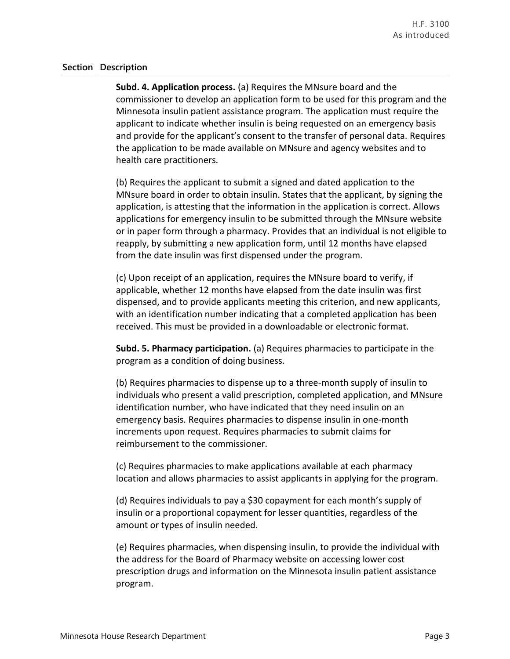**Subd. 4. Application process.** (a) Requires the MNsure board and the commissioner to develop an application form to be used for this program and the Minnesota insulin patient assistance program. The application must require the applicant to indicate whether insulin is being requested on an emergency basis and provide for the applicant's consent to the transfer of personal data. Requires the application to be made available on MNsure and agency websites and to health care practitioners.

(b) Requires the applicant to submit a signed and dated application to the MNsure board in order to obtain insulin. States that the applicant, by signing the application, is attesting that the information in the application is correct. Allows applications for emergency insulin to be submitted through the MNsure website or in paper form through a pharmacy. Provides that an individual is not eligible to reapply, by submitting a new application form, until 12 months have elapsed from the date insulin was first dispensed under the program.

(c) Upon receipt of an application, requires the MNsure board to verify, if applicable, whether 12 months have elapsed from the date insulin was first dispensed, and to provide applicants meeting this criterion, and new applicants, with an identification number indicating that a completed application has been received. This must be provided in a downloadable or electronic format.

**Subd. 5. Pharmacy participation.** (a) Requires pharmacies to participate in the program as a condition of doing business.

(b) Requires pharmacies to dispense up to a three-month supply of insulin to individuals who present a valid prescription, completed application, and MNsure identification number, who have indicated that they need insulin on an emergency basis. Requires pharmacies to dispense insulin in one-month increments upon request. Requires pharmacies to submit claims for reimbursement to the commissioner.

(c) Requires pharmacies to make applications available at each pharmacy location and allows pharmacies to assist applicants in applying for the program.

(d) Requires individuals to pay a \$30 copayment for each month's supply of insulin or a proportional copayment for lesser quantities, regardless of the amount or types of insulin needed.

(e) Requires pharmacies, when dispensing insulin, to provide the individual with the address for the Board of Pharmacy website on accessing lower cost prescription drugs and information on the Minnesota insulin patient assistance program.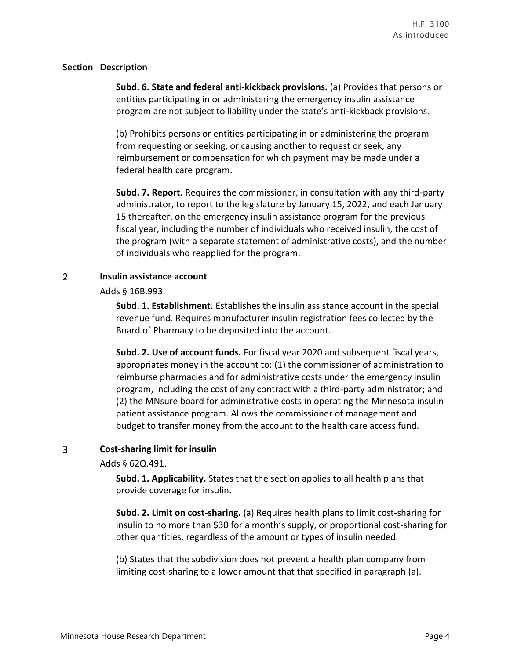**Subd. 6. State and federal anti-kickback provisions.** (a) Provides that persons or entities participating in or administering the emergency insulin assistance program are not subject to liability under the state's anti-kickback provisions.

(b) Prohibits persons or entities participating in or administering the program from requesting or seeking, or causing another to request or seek, any reimbursement or compensation for which payment may be made under a federal health care program.

**Subd. 7. Report.** Requires the commissioner, in consultation with any third-party administrator, to report to the legislature by January 15, 2022, and each January 15 thereafter, on the emergency insulin assistance program for the previous fiscal year, including the number of individuals who received insulin, the cost of the program (with a separate statement of administrative costs), and the number of individuals who reapplied for the program.

### $\overline{2}$ **Insulin assistance account**

Adds § 16B.993.

**Subd. 1. Establishment.** Establishes the insulin assistance account in the special revenue fund. Requires manufacturer insulin registration fees collected by the Board of Pharmacy to be deposited into the account.

**Subd. 2. Use of account funds.** For fiscal year 2020 and subsequent fiscal years, appropriates money in the account to: (1) the commissioner of administration to reimburse pharmacies and for administrative costs under the emergency insulin program, including the cost of any contract with a third-party administrator; and (2) the MNsure board for administrative costs in operating the Minnesota insulin patient assistance program. Allows the commissioner of management and budget to transfer money from the account to the health care access fund.

### 3 **Cost-sharing limit for insulin**

Adds § 62Q.491.

**Subd. 1. Applicability.** States that the section applies to all health plans that provide coverage for insulin.

**Subd. 2. Limit on cost-sharing.** (a) Requires health plans to limit cost-sharing for insulin to no more than \$30 for a month's supply, or proportional cost-sharing for other quantities, regardless of the amount or types of insulin needed.

(b) States that the subdivision does not prevent a health plan company from limiting cost-sharing to a lower amount that that specified in paragraph (a).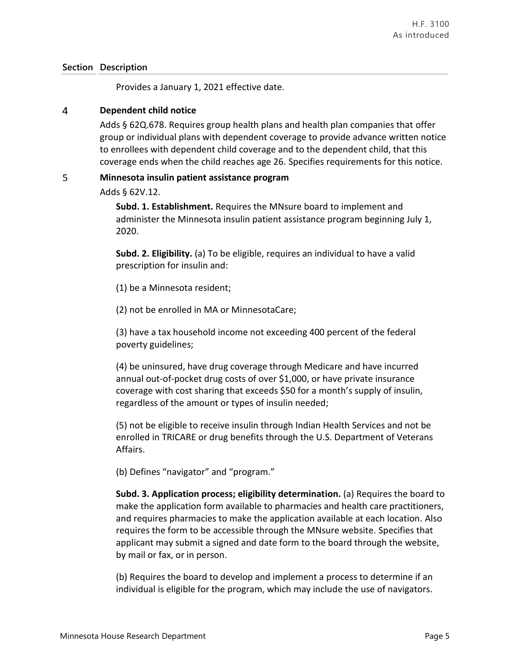Provides a January 1, 2021 effective date.

### $\overline{4}$ **Dependent child notice**

Adds § 62Q.678. Requires group health plans and health plan companies that offer group or individual plans with dependent coverage to provide advance written notice to enrollees with dependent child coverage and to the dependent child, that this coverage ends when the child reaches age 26. Specifies requirements for this notice.

### 5 **Minnesota insulin patient assistance program**

Adds § 62V.12.

**Subd. 1. Establishment.** Requires the MNsure board to implement and administer the Minnesota insulin patient assistance program beginning July 1, 2020.

**Subd. 2. Eligibility.** (a) To be eligible, requires an individual to have a valid prescription for insulin and:

(1) be a Minnesota resident;

(2) not be enrolled in MA or MinnesotaCare;

(3) have a tax household income not exceeding 400 percent of the federal poverty guidelines;

(4) be uninsured, have drug coverage through Medicare and have incurred annual out-of-pocket drug costs of over \$1,000, or have private insurance coverage with cost sharing that exceeds \$50 for a month's supply of insulin, regardless of the amount or types of insulin needed;

(5) not be eligible to receive insulin through Indian Health Services and not be enrolled in TRICARE or drug benefits through the U.S. Department of Veterans Affairs.

(b) Defines "navigator" and "program."

**Subd. 3. Application process; eligibility determination.** (a) Requires the board to make the application form available to pharmacies and health care practitioners, and requires pharmacies to make the application available at each location. Also requires the form to be accessible through the MNsure website. Specifies that applicant may submit a signed and date form to the board through the website, by mail or fax, or in person.

(b) Requires the board to develop and implement a process to determine if an individual is eligible for the program, which may include the use of navigators.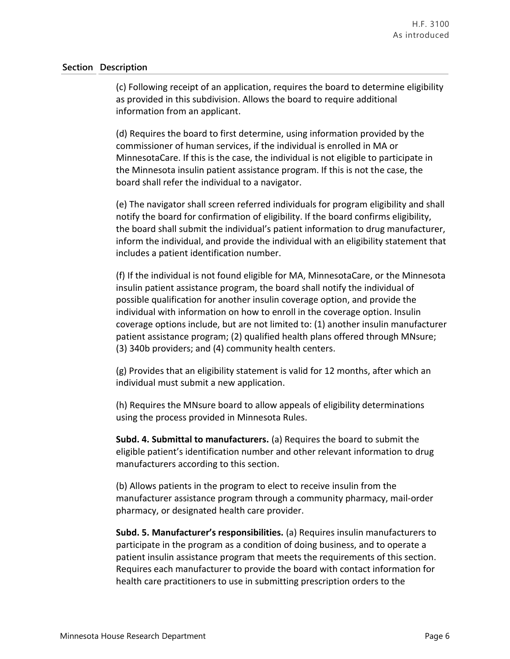(c) Following receipt of an application, requires the board to determine eligibility as provided in this subdivision. Allows the board to require additional information from an applicant.

(d) Requires the board to first determine, using information provided by the commissioner of human services, if the individual is enrolled in MA or MinnesotaCare. If this is the case, the individual is not eligible to participate in the Minnesota insulin patient assistance program. If this is not the case, the board shall refer the individual to a navigator.

(e) The navigator shall screen referred individuals for program eligibility and shall notify the board for confirmation of eligibility. If the board confirms eligibility, the board shall submit the individual's patient information to drug manufacturer, inform the individual, and provide the individual with an eligibility statement that includes a patient identification number.

(f) If the individual is not found eligible for MA, MinnesotaCare, or the Minnesota insulin patient assistance program, the board shall notify the individual of possible qualification for another insulin coverage option, and provide the individual with information on how to enroll in the coverage option. Insulin coverage options include, but are not limited to: (1) another insulin manufacturer patient assistance program; (2) qualified health plans offered through MNsure; (3) 340b providers; and (4) community health centers.

(g) Provides that an eligibility statement is valid for 12 months, after which an individual must submit a new application.

(h) Requires the MNsure board to allow appeals of eligibility determinations using the process provided in Minnesota Rules.

**Subd. 4. Submittal to manufacturers.** (a) Requires the board to submit the eligible patient's identification number and other relevant information to drug manufacturers according to this section.

(b) Allows patients in the program to elect to receive insulin from the manufacturer assistance program through a community pharmacy, mail-order pharmacy, or designated health care provider.

**Subd. 5. Manufacturer's responsibilities.** (a) Requires insulin manufacturers to participate in the program as a condition of doing business, and to operate a patient insulin assistance program that meets the requirements of this section. Requires each manufacturer to provide the board with contact information for health care practitioners to use in submitting prescription orders to the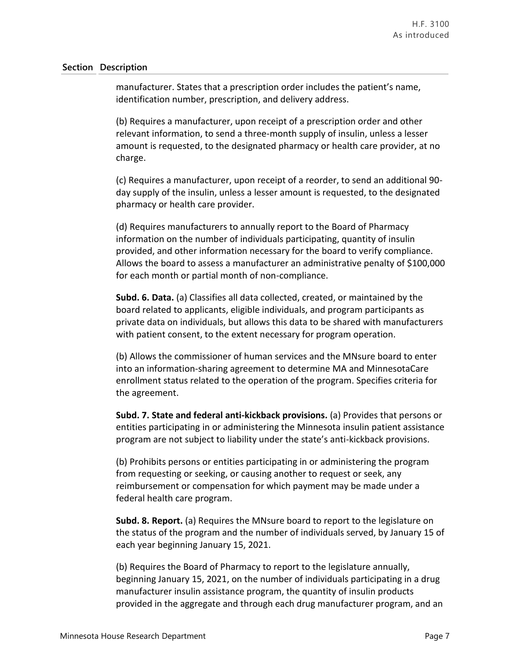manufacturer. States that a prescription order includes the patient's name, identification number, prescription, and delivery address.

(b) Requires a manufacturer, upon receipt of a prescription order and other relevant information, to send a three-month supply of insulin, unless a lesser amount is requested, to the designated pharmacy or health care provider, at no charge.

(c) Requires a manufacturer, upon receipt of a reorder, to send an additional 90 day supply of the insulin, unless a lesser amount is requested, to the designated pharmacy or health care provider.

(d) Requires manufacturers to annually report to the Board of Pharmacy information on the number of individuals participating, quantity of insulin provided, and other information necessary for the board to verify compliance. Allows the board to assess a manufacturer an administrative penalty of \$100,000 for each month or partial month of non-compliance.

**Subd. 6. Data.** (a) Classifies all data collected, created, or maintained by the board related to applicants, eligible individuals, and program participants as private data on individuals, but allows this data to be shared with manufacturers with patient consent, to the extent necessary for program operation.

(b) Allows the commissioner of human services and the MNsure board to enter into an information-sharing agreement to determine MA and MinnesotaCare enrollment status related to the operation of the program. Specifies criteria for the agreement.

**Subd. 7. State and federal anti-kickback provisions.** (a) Provides that persons or entities participating in or administering the Minnesota insulin patient assistance program are not subject to liability under the state's anti-kickback provisions.

(b) Prohibits persons or entities participating in or administering the program from requesting or seeking, or causing another to request or seek, any reimbursement or compensation for which payment may be made under a federal health care program.

**Subd. 8. Report.** (a) Requires the MNsure board to report to the legislature on the status of the program and the number of individuals served, by January 15 of each year beginning January 15, 2021.

(b) Requires the Board of Pharmacy to report to the legislature annually, beginning January 15, 2021, on the number of individuals participating in a drug manufacturer insulin assistance program, the quantity of insulin products provided in the aggregate and through each drug manufacturer program, and an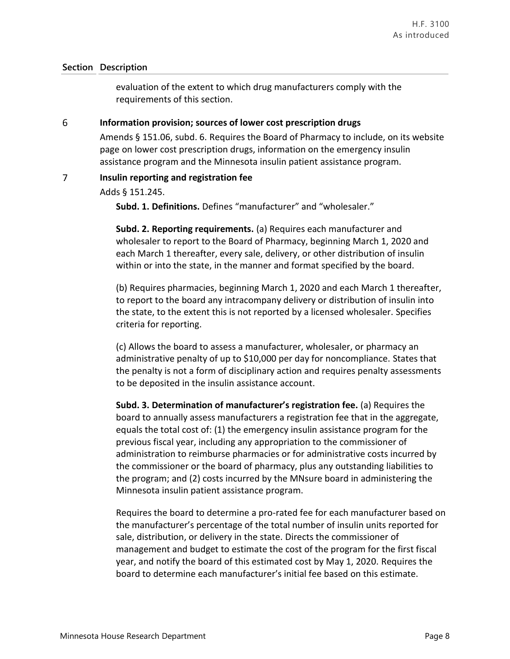evaluation of the extent to which drug manufacturers comply with the requirements of this section.

#### 6 **Information provision; sources of lower cost prescription drugs**

Amends § 151.06, subd. 6. Requires the Board of Pharmacy to include, on its website page on lower cost prescription drugs, information on the emergency insulin assistance program and the Minnesota insulin patient assistance program.

### $\overline{7}$ **Insulin reporting and registration fee**

Adds § 151.245.

**Subd. 1. Definitions.** Defines "manufacturer" and "wholesaler."

**Subd. 2. Reporting requirements.** (a) Requires each manufacturer and wholesaler to report to the Board of Pharmacy, beginning March 1, 2020 and each March 1 thereafter, every sale, delivery, or other distribution of insulin within or into the state, in the manner and format specified by the board.

(b) Requires pharmacies, beginning March 1, 2020 and each March 1 thereafter, to report to the board any intracompany delivery or distribution of insulin into the state, to the extent this is not reported by a licensed wholesaler. Specifies criteria for reporting.

(c) Allows the board to assess a manufacturer, wholesaler, or pharmacy an administrative penalty of up to \$10,000 per day for noncompliance. States that the penalty is not a form of disciplinary action and requires penalty assessments to be deposited in the insulin assistance account.

**Subd. 3. Determination of manufacturer's registration fee.** (a) Requires the board to annually assess manufacturers a registration fee that in the aggregate, equals the total cost of: (1) the emergency insulin assistance program for the previous fiscal year, including any appropriation to the commissioner of administration to reimburse pharmacies or for administrative costs incurred by the commissioner or the board of pharmacy, plus any outstanding liabilities to the program; and (2) costs incurred by the MNsure board in administering the Minnesota insulin patient assistance program.

Requires the board to determine a pro-rated fee for each manufacturer based on the manufacturer's percentage of the total number of insulin units reported for sale, distribution, or delivery in the state. Directs the commissioner of management and budget to estimate the cost of the program for the first fiscal year, and notify the board of this estimated cost by May 1, 2020. Requires the board to determine each manufacturer's initial fee based on this estimate.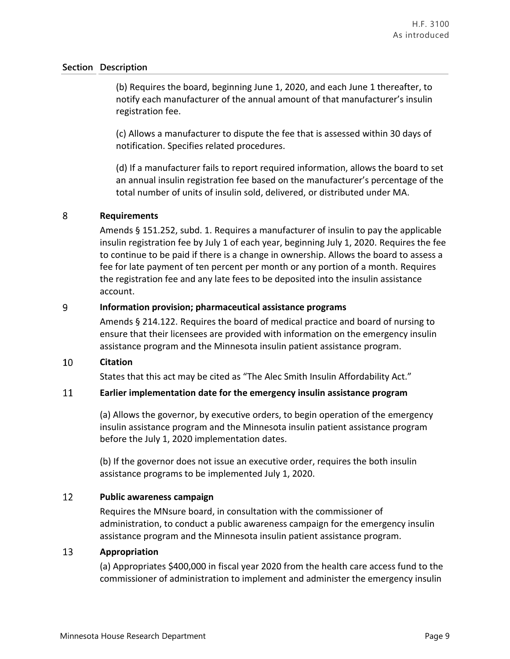(b) Requires the board, beginning June 1, 2020, and each June 1 thereafter, to notify each manufacturer of the annual amount of that manufacturer's insulin registration fee.

(c) Allows a manufacturer to dispute the fee that is assessed within 30 days of notification. Specifies related procedures.

(d) If a manufacturer fails to report required information, allows the board to set an annual insulin registration fee based on the manufacturer's percentage of the total number of units of insulin sold, delivered, or distributed under MA.

### 8 **Requirements**

Amends § 151.252, subd. 1. Requires a manufacturer of insulin to pay the applicable insulin registration fee by July 1 of each year, beginning July 1, 2020. Requires the fee to continue to be paid if there is a change in ownership. Allows the board to assess a fee for late payment of ten percent per month or any portion of a month. Requires the registration fee and any late fees to be deposited into the insulin assistance account.

### 9 **Information provision; pharmaceutical assistance programs**

Amends § 214.122. Requires the board of medical practice and board of nursing to ensure that their licensees are provided with information on the emergency insulin assistance program and the Minnesota insulin patient assistance program.

### 10 **Citation**

States that this act may be cited as "The Alec Smith Insulin Affordability Act."

#### 11 **Earlier implementation date for the emergency insulin assistance program**

(a) Allows the governor, by executive orders, to begin operation of the emergency insulin assistance program and the Minnesota insulin patient assistance program before the July 1, 2020 implementation dates.

(b) If the governor does not issue an executive order, requires the both insulin assistance programs to be implemented July 1, 2020.

### 12 **Public awareness campaign**

Requires the MNsure board, in consultation with the commissioner of administration, to conduct a public awareness campaign for the emergency insulin assistance program and the Minnesota insulin patient assistance program.

#### 13 **Appropriation**

(a) Appropriates \$400,000 in fiscal year 2020 from the health care access fund to the commissioner of administration to implement and administer the emergency insulin